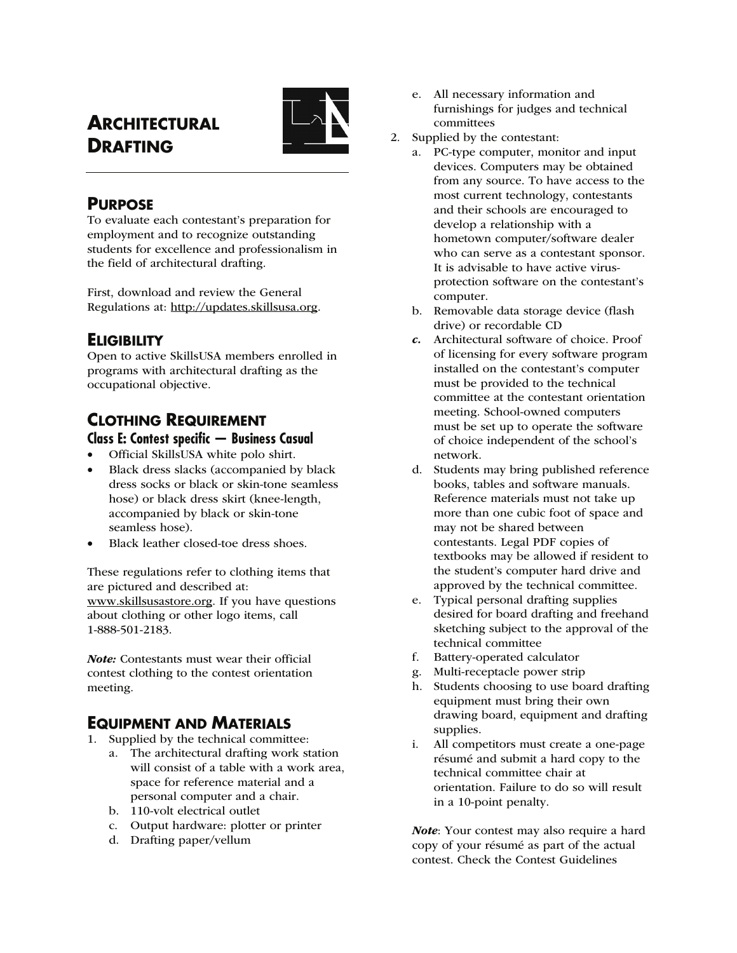# **ARCHITECTURAL DRAFTING**



### **PURPOSE**

To evaluate each contestant's preparation for employment and to recognize outstanding students for excellence and professionalism in the field of architectural drafting.

First, download and review the General Regulations at: http://updates.skillsusa.org.

## **ELIGIBILITY**

Open to active SkillsUSA members enrolled in programs with architectural drafting as the occupational objective.

## **CLOTHING REQUIREMENT**

#### **Class E: Contest specific — Business Casual**

- Official SkillsUSA white polo shirt.
- Black dress slacks (accompanied by black dress socks or black or skin-tone seamless hose) or black dress skirt (knee-length, accompanied by black or skin-tone seamless hose).
- Black leather closed-toe dress shoes.

These regulations refer to clothing items that are pictured and described at: www.skillsusastore.org. If you have questions about clothing or other logo items, call 1-888-501-2183.

Note: Contestants must wear their official contest clothing to the contest orientation meeting.

## **EQUIPMENT AND MATERIALS**

- 1. Supplied by the technical committee:
	- a. The architectural drafting work station will consist of a table with a work area, space for reference material and a personal computer and a chair.
	- b. 110-volt electrical outlet
	- c. Output hardware: plotter or printer
	- d. Drafting paper/vellum
- e. All necessary information and furnishings for judges and technical committees
- 2. Supplied by the contestant:
	- a. PC-type computer, monitor and input devices. Computers may be obtained from any source. To have access to the most current technology, contestants and their schools are encouraged to develop a relationship with a hometown computer/software dealer who can serve as a contestant sponsor. It is advisable to have active virusprotection software on the contestant's computer.
	- b. Removable data storage device (flash drive) or recordable CD
	- c. Architectural software of choice. Proof of licensing for every software program installed on the contestant's computer must be provided to the technical committee at the contestant orientation meeting. School-owned computers must be set up to operate the software of choice independent of the school's network.
	- d. Students may bring published reference books, tables and software manuals. Reference materials must not take up more than one cubic foot of space and may not be shared between contestants. Legal PDF copies of textbooks may be allowed if resident to the student's computer hard drive and approved by the technical committee.
	- e. Typical personal drafting supplies desired for board drafting and freehand sketching subject to the approval of the technical committee
	- f. Battery-operated calculator
	- g. Multi-receptacle power strip
	- h. Students choosing to use board drafting equipment must bring their own drawing board, equipment and drafting supplies.
	- i. All competitors must create a one-page résumé and submit a hard copy to the technical committee chair at orientation. Failure to do so will result in a 10-point penalty.

Note: Your contest may also require a hard copy of your résumé as part of the actual contest. Check the Contest Guidelines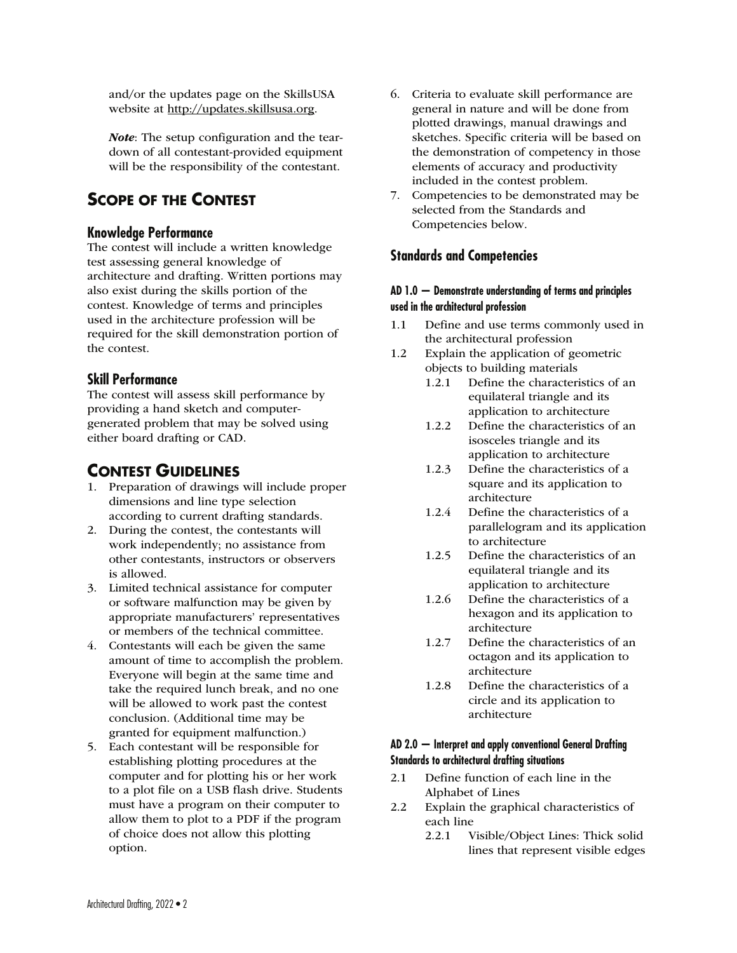and/or the updates page on the SkillsUSA website at http://updates.skillsusa.org.

Note: The setup configuration and the teardown of all contestant-provided equipment will be the responsibility of the contestant.

## **SCOPE OF THE CONTEST**

#### **Knowledge Performance**

The contest will include a written knowledge test assessing general knowledge of architecture and drafting. Written portions may also exist during the skills portion of the contest. Knowledge of terms and principles used in the architecture profession will be required for the skill demonstration portion of the contest.

#### **Skill Performance**

The contest will assess skill performance by providing a hand sketch and computergenerated problem that may be solved using either board drafting or CAD.

## **CONTEST GUIDELINES**

- 1. Preparation of drawings will include proper dimensions and line type selection according to current drafting standards.
- 2. During the contest, the contestants will work independently; no assistance from other contestants, instructors or observers is allowed.
- 3. Limited technical assistance for computer or software malfunction may be given by appropriate manufacturers' representatives or members of the technical committee.
- 4. Contestants will each be given the same amount of time to accomplish the problem. Everyone will begin at the same time and take the required lunch break, and no one will be allowed to work past the contest conclusion. (Additional time may be granted for equipment malfunction.)
- 5. Each contestant will be responsible for establishing plotting procedures at the computer and for plotting his or her work to a plot file on a USB flash drive. Students must have a program on their computer to allow them to plot to a PDF if the program of choice does not allow this plotting option.
- 6. Criteria to evaluate skill performance are general in nature and will be done from plotted drawings, manual drawings and sketches. Specific criteria will be based on the demonstration of competency in those elements of accuracy and productivity included in the contest problem.
- 7. Competencies to be demonstrated may be selected from the Standards and Competencies below.

#### **Standards and Competencies**

#### **AD 1.0 — Demonstrate understanding of terms and principles used in the architectural profession**

- 1.1 Define and use terms commonly used in the architectural profession
- 1.2 Explain the application of geometric objects to building materials
	- 1.2.1 Define the characteristics of an equilateral triangle and its application to architecture
	- 1.2.2 Define the characteristics of an isosceles triangle and its application to architecture
	- 1.2.3 Define the characteristics of a square and its application to architecture
	- 1.2.4 Define the characteristics of a parallelogram and its application to architecture
	- 1.2.5 Define the characteristics of an equilateral triangle and its application to architecture
	- 1.2.6 Define the characteristics of a hexagon and its application to architecture
	- 1.2.7 Define the characteristics of an octagon and its application to architecture
	- 1.2.8 Define the characteristics of a circle and its application to architecture

#### **AD 2.0 — Interpret and apply conventional General Drafting Standards to architectural drafting situations**

- 2.1 Define function of each line in the Alphabet of Lines
- 2.2 Explain the graphical characteristics of each line
	- 2.2.1 Visible/Object Lines: Thick solid lines that represent visible edges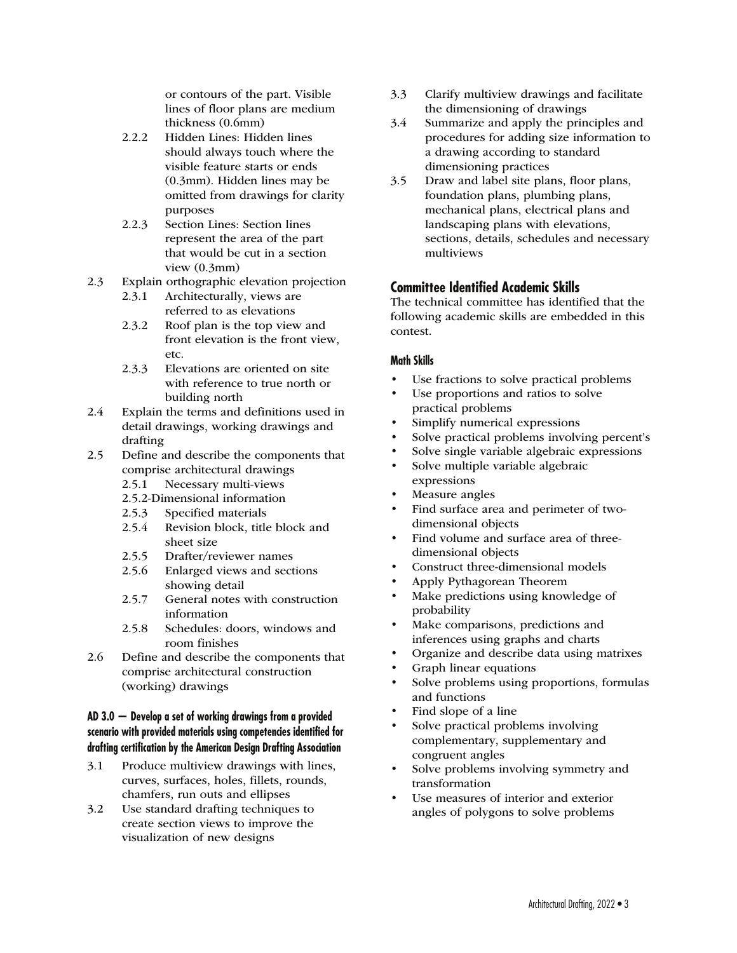or contours of the part. Visible lines of floor plans are medium thickness (0.6mm)

- 2.2.2 Hidden Lines: Hidden lines should always touch where the visible feature starts or ends (0.3mm). Hidden lines may be omitted from drawings for clarity purposes
- 2.2.3 Section Lines: Section lines represent the area of the part that would be cut in a section view (0.3mm)
- 2.3 Explain orthographic elevation projection
	- 2.3.1 Architecturally, views are referred to as elevations
	- 2.3.2 Roof plan is the top view and front elevation is the front view, etc.
	- 2.3.3 Elevations are oriented on site with reference to true north or building north
- 2.4 Explain the terms and definitions used in detail drawings, working drawings and drafting
- 2.5 Define and describe the components that comprise architectural drawings
	- 2.5.1 Necessary multi-views
	- 2.5.2-Dimensional information
	- 2.5.3 Specified materials
	- 2.5.4 Revision block, title block and sheet size
	- 2.5.5 Drafter/reviewer names
	- 2.5.6 Enlarged views and sections showing detail
	- 2.5.7 General notes with construction information
	- 2.5.8 Schedules: doors, windows and room finishes
- 2.6 Define and describe the components that comprise architectural construction (working) drawings

#### **AD 3.0 — Develop a set of working drawings from a provided scenario with provided materials using competencies identified for drafting certification by the American Design Drafting Association**

- 3.1 Produce multiview drawings with lines, curves, surfaces, holes, fillets, rounds, chamfers, run outs and ellipses
- 3.2 Use standard drafting techniques to create section views to improve the visualization of new designs
- 3.3 Clarify multiview drawings and facilitate the dimensioning of drawings
- 3.4 Summarize and apply the principles and procedures for adding size information to a drawing according to standard dimensioning practices
- 3.5 Draw and label site plans, floor plans, foundation plans, plumbing plans, mechanical plans, electrical plans and landscaping plans with elevations, sections, details, schedules and necessary multiviews

#### **Committee Identified Academic Skills**

The technical committee has identified that the following academic skills are embedded in this contest.

#### **Math Skills**

- Use fractions to solve practical problems
- Use proportions and ratios to solve practical problems
- Simplify numerical expressions
- Solve practical problems involving percent's
- Solve single variable algebraic expressions
- Solve multiple variable algebraic expressions
- Measure angles
- Find surface area and perimeter of twodimensional objects
- Find volume and surface area of threedimensional objects
- Construct three-dimensional models
- Apply Pythagorean Theorem
- Make predictions using knowledge of probability
- Make comparisons, predictions and inferences using graphs and charts
- Organize and describe data using matrixes
- Graph linear equations
- Solve problems using proportions, formulas and functions
- Find slope of a line
- Solve practical problems involving complementary, supplementary and congruent angles
- Solve problems involving symmetry and transformation
- Use measures of interior and exterior angles of polygons to solve problems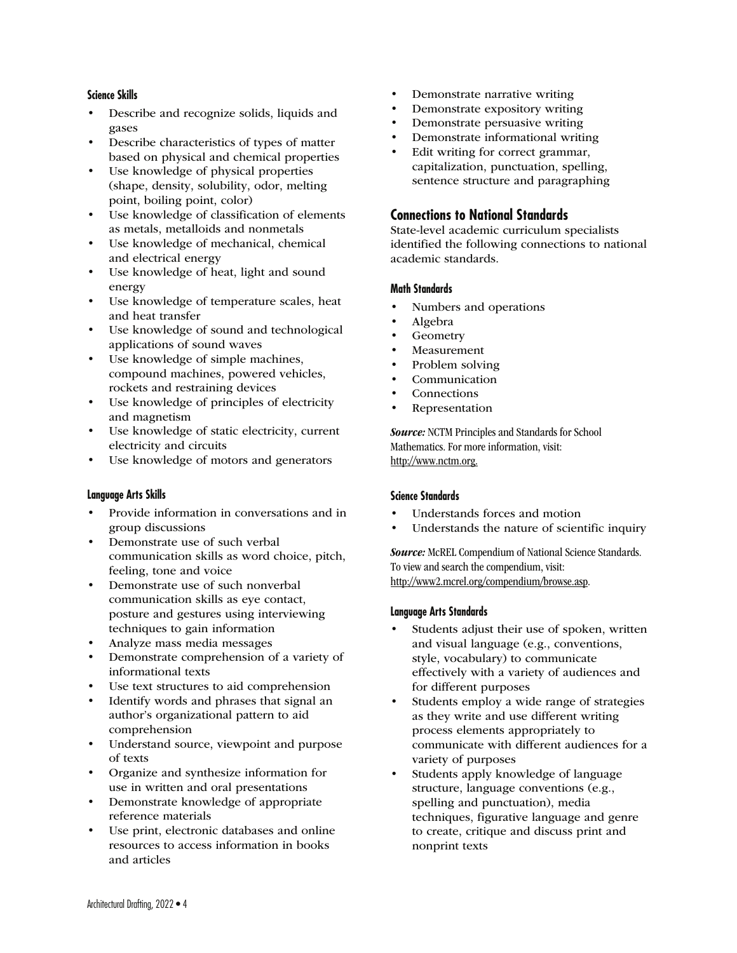#### **Science Skills**

- Describe and recognize solids, liquids and gases
- Describe characteristics of types of matter based on physical and chemical properties
- Use knowledge of physical properties (shape, density, solubility, odor, melting point, boiling point, color)
- Use knowledge of classification of elements as metals, metalloids and nonmetals
- Use knowledge of mechanical, chemical and electrical energy
- Use knowledge of heat, light and sound energy
- Use knowledge of temperature scales, heat and heat transfer
- Use knowledge of sound and technological applications of sound waves
- Use knowledge of simple machines, compound machines, powered vehicles, rockets and restraining devices
- Use knowledge of principles of electricity and magnetism
- Use knowledge of static electricity, current electricity and circuits
- Use knowledge of motors and generators

#### **Language Arts Skills**

- Provide information in conversations and in group discussions
- Demonstrate use of such verbal communication skills as word choice, pitch, feeling, tone and voice
- Demonstrate use of such nonverbal communication skills as eye contact, posture and gestures using interviewing techniques to gain information
- Analyze mass media messages
- Demonstrate comprehension of a variety of informational texts
- Use text structures to aid comprehension
- Identify words and phrases that signal an author's organizational pattern to aid comprehension
- Understand source, viewpoint and purpose of texts
- Organize and synthesize information for use in written and oral presentations
- Demonstrate knowledge of appropriate reference materials
- Use print, electronic databases and online resources to access information in books and articles
- Demonstrate narrative writing
- Demonstrate expository writing
- Demonstrate persuasive writing
- Demonstrate informational writing
- Edit writing for correct grammar, capitalization, punctuation, spelling, sentence structure and paragraphing

#### **Connections to National Standards**

State-level academic curriculum specialists identified the following connections to national academic standards.

#### **Math Standards**

- Numbers and operations
- Algebra
- Geometry
- **Measurement**
- Problem solving
- **Communication**
- **Connections**
- Representation

Source: NCTM Principles and Standards for School Mathematics. For more information, visit: http://www.nctm.org.

#### **Science Standards**

- Understands forces and motion
- Understands the nature of scientific inquiry

Source: McREL Compendium of National Science Standards. To view and search the compendium, visit: http://www2.mcrel.org/compendium/browse.asp.

#### **Language Arts Standards**

- Students adjust their use of spoken, written and visual language (e.g., conventions, style, vocabulary) to communicate effectively with a variety of audiences and for different purposes
- Students employ a wide range of strategies as they write and use different writing process elements appropriately to communicate with different audiences for a variety of purposes
- Students apply knowledge of language structure, language conventions (e.g., spelling and punctuation), media techniques, figurative language and genre to create, critique and discuss print and nonprint texts